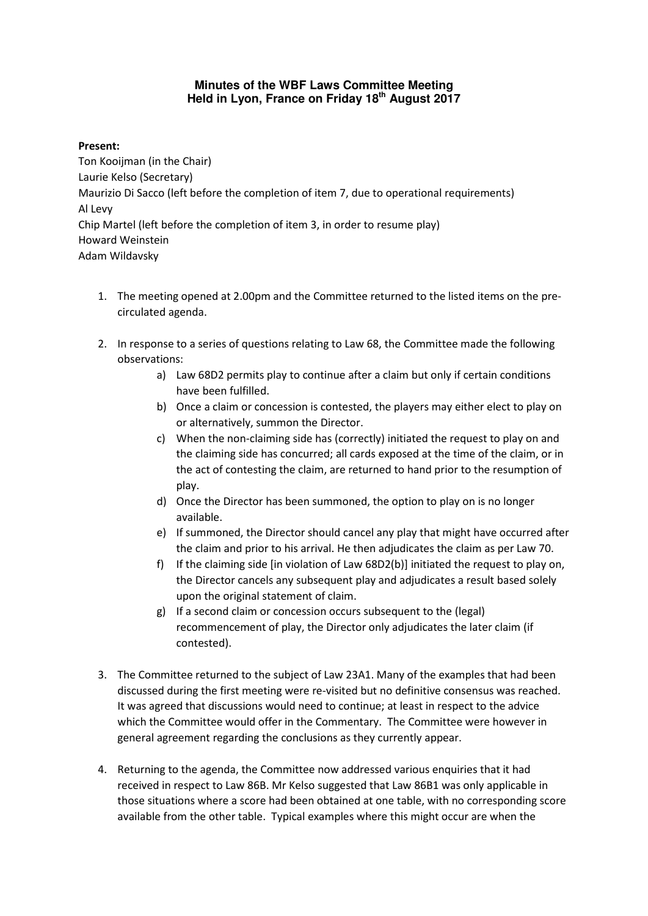## **Minutes of the WBF Laws Committee Meeting Held in Lyon, France on Friday 18th August 2017**

## **Present:**

Ton Kooijman (in the Chair) Laurie Kelso (Secretary) Maurizio Di Sacco (left before the completion of item 7, due to operational requirements) Al Levy Chip Martel (left before the completion of item 3, in order to resume play) Howard Weinstein Adam Wildavsky

- 1. The meeting opened at 2.00pm and the Committee returned to the listed items on the precirculated agenda.
- 2. In response to a series of questions relating to Law 68, the Committee made the following observations:
	- a) Law 68D2 permits play to continue after a claim but only if certain conditions have been fulfilled.
	- b) Once a claim or concession is contested, the players may either elect to play on or alternatively, summon the Director.
	- c) When the non-claiming side has (correctly) initiated the request to play on and the claiming side has concurred; all cards exposed at the time of the claim, or in the act of contesting the claim, are returned to hand prior to the resumption of play.
	- d) Once the Director has been summoned, the option to play on is no longer available.
	- e) If summoned, the Director should cancel any play that might have occurred after the claim and prior to his arrival. He then adjudicates the claim as per Law 70.
	- f) If the claiming side [in violation of Law 68D2(b)] initiated the request to play on, the Director cancels any subsequent play and adjudicates a result based solely upon the original statement of claim.
	- g) If a second claim or concession occurs subsequent to the (legal) recommencement of play, the Director only adjudicates the later claim (if contested).
- 3. The Committee returned to the subject of Law 23A1. Many of the examples that had been discussed during the first meeting were re-visited but no definitive consensus was reached. It was agreed that discussions would need to continue; at least in respect to the advice which the Committee would offer in the Commentary. The Committee were however in general agreement regarding the conclusions as they currently appear.
- 4. Returning to the agenda, the Committee now addressed various enquiries that it had received in respect to Law 86B. Mr Kelso suggested that Law 86B1 was only applicable in those situations where a score had been obtained at one table, with no corresponding score available from the other table. Typical examples where this might occur are when the